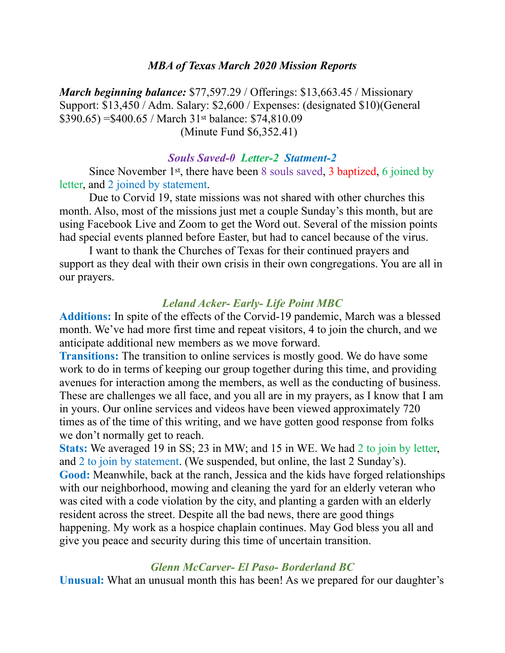#### *MBA of Texas March 2020 Mission Reports*

*March beginning balance:* \$77,597.29 / Offerings: \$13,663.45 / Missionary Support: \$13,450 / Adm. Salary: \$2,600 / Expenses: (designated \$10)(General \$390.65) =\$400.65 / March 31st balance: \$74,810.09 (Minute Fund \$6,352.41)

#### *Souls Saved-0 Letter-2 Statment-2*

Since November 1st, there have been 8 souls saved, 3 baptized, 6 joined by letter, and 2 joined by statement.

 Due to Corvid 19, state missions was not shared with other churches this month. Also, most of the missions just met a couple Sunday's this month, but are using Facebook Live and Zoom to get the Word out. Several of the mission points had special events planned before Easter, but had to cancel because of the virus.

 I want to thank the Churches of Texas for their continued prayers and support as they deal with their own crisis in their own congregations. You are all in our prayers.

### *Leland Acker- Early- Life Point MBC*

**Additions:** In spite of the effects of the Corvid-19 pandemic, March was a blessed month. We've had more first time and repeat visitors, 4 to join the church, and we anticipate additional new members as we move forward.

**Transitions:** The transition to online services is mostly good. We do have some work to do in terms of keeping our group together during this time, and providing avenues for interaction among the members, as well as the conducting of business. These are challenges we all face, and you all are in my prayers, as I know that I am in yours. Our online services and videos have been viewed approximately 720 times as of the time of this writing, and we have gotten good response from folks we don't normally get to reach.

**Stats:** We averaged 19 in SS; 23 in MW; and 15 in WE. We had 2 to join by letter, and 2 to join by statement. (We suspended, but online, the last 2 Sunday's). **Good:** Meanwhile, back at the ranch, Jessica and the kids have forged relationships with our neighborhood, mowing and cleaning the yard for an elderly veteran who was cited with a code violation by the city, and planting a garden with an elderly resident across the street. Despite all the bad news, there are good things happening. My work as a hospice chaplain continues. May God bless you all and give you peace and security during this time of uncertain transition.

#### *Glenn McCarver- El Paso- Borderland BC*

**Unusual:** What an unusual month this has been! As we prepared for our daughter's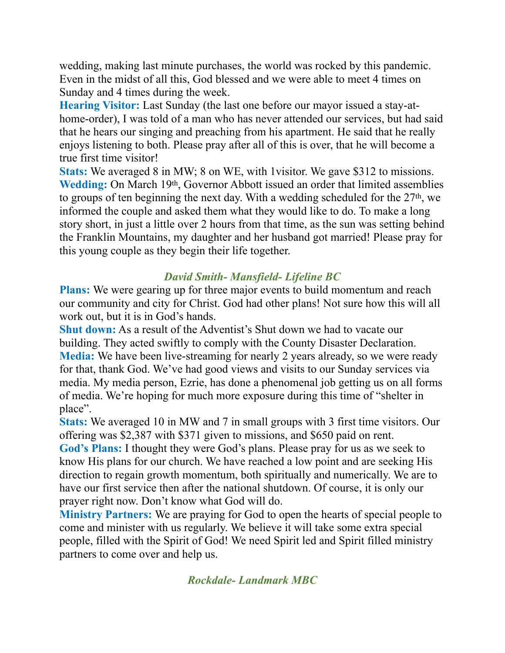wedding, making last minute purchases, the world was rocked by this pandemic. Even in the midst of all this, God blessed and we were able to meet 4 times on Sunday and 4 times during the week.

**Hearing Visitor:** Last Sunday (the last one before our mayor issued a stay-athome-order), I was told of a man who has never attended our services, but had said that he hears our singing and preaching from his apartment. He said that he really enjoys listening to both. Please pray after all of this is over, that he will become a true first time visitor!

**Stats:** We averaged 8 in MW; 8 on WE, with 1visitor. We gave \$312 to missions. Wedding: On March 19th, Governor Abbott issued an order that limited assemblies to groups of ten beginning the next day. With a wedding scheduled for the 27th, we informed the couple and asked them what they would like to do. To make a long story short, in just a little over 2 hours from that time, as the sun was setting behind the Franklin Mountains, my daughter and her husband got married! Please pray for this young couple as they begin their life together.

# *David Smith- Mansfield- Lifeline BC*

**Plans:** We were gearing up for three major events to build momentum and reach our community and city for Christ. God had other plans! Not sure how this will all work out, but it is in God's hands.

**Shut down:** As a result of the Adventist's Shut down we had to vacate our building. They acted swiftly to comply with the County Disaster Declaration. **Media:** We have been live-streaming for nearly 2 years already, so we were ready for that, thank God. We've had good views and visits to our Sunday services via media. My media person, Ezrie, has done a phenomenal job getting us on all forms of media. We're hoping for much more exposure during this time of "shelter in place".

**Stats:** We averaged 10 in MW and 7 in small groups with 3 first time visitors. Our offering was \$2,387 with \$371 given to missions, and \$650 paid on rent.

**God's Plans:** I thought they were God's plans. Please pray for us as we seek to know His plans for our church. We have reached a low point and are seeking His direction to regain growth momentum, both spiritually and numerically. We are to have our first service then after the national shutdown. Of course, it is only our prayer right now. Don't know what God will do.

**Ministry Partners:** We are praying for God to open the hearts of special people to come and minister with us regularly. We believe it will take some extra special people, filled with the Spirit of God! We need Spirit led and Spirit filled ministry partners to come over and help us.

*Rockdale- Landmark MBC*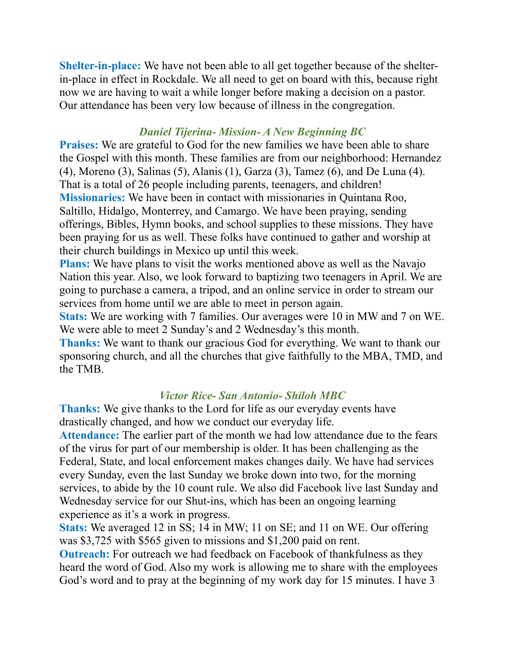**Shelter-in-place:** We have not been able to all get together because of the shelterin-place in effect in Rockdale. We all need to get on board with this, because right now we are having to wait a while longer before making a decision on a pastor. Our attendance has been very low because of illness in the congregation.

## *Daniel Tijerina- Mission- A New Beginning BC*

**Praises:** We are grateful to God for the new families we have been able to share the Gospel with this month. These families are from our neighborhood: Hernandez (4), Moreno (3), Salinas (5), Alanis (1), Garza (3), Tamez (6), and De Luna (4). That is a total of 26 people including parents, teenagers, and children! **Missionaries:** We have been in contact with missionaries in Quintana Roo, Saltillo, Hidalgo, Monterrey, and Camargo. We have been praying, sending offerings, Bibles, Hymn books, and school supplies to these missions. They have been praying for us as well. These folks have continued to gather and worship at their church buildings in Mexico up until this week.

**Plans:** We have plans to visit the works mentioned above as well as the Navajo Nation this year. Also, we look forward to baptizing two teenagers in April. We are going to purchase a camera, a tripod, and an online service in order to stream our services from home until we are able to meet in person again.

**Stats:** We are working with 7 families. Our averages were 10 in MW and 7 on WE. We were able to meet 2 Sunday's and 2 Wednesday's this month.

**Thanks:** We want to thank our gracious God for everything. We want to thank our sponsoring church, and all the churches that give faithfully to the MBA, TMD, and the TMB.

## *Victor Rice- San Antonio- Shiloh MBC*

**Thanks:** We give thanks to the Lord for life as our everyday events have drastically changed, and how we conduct our everyday life.

**Attendance:** The earlier part of the month we had low attendance due to the fears of the virus for part of our membership is older. It has been challenging as the Federal, State, and local enforcement makes changes daily. We have had services every Sunday, even the last Sunday we broke down into two, for the morning services, to abide by the 10 count rule. We also did Facebook live last Sunday and Wednesday service for our Shut-ins, which has been an ongoing learning experience as it's a work in progress.

**Stats:** We averaged 12 in SS; 14 in MW; 11 on SE; and 11 on WE. Our offering was \$3,725 with \$565 given to missions and \$1,200 paid on rent. **Outreach:** For outreach we had feedback on Facebook of thankfulness as they heard the word of God. Also my work is allowing me to share with the employees God's word and to pray at the beginning of my work day for 15 minutes. I have 3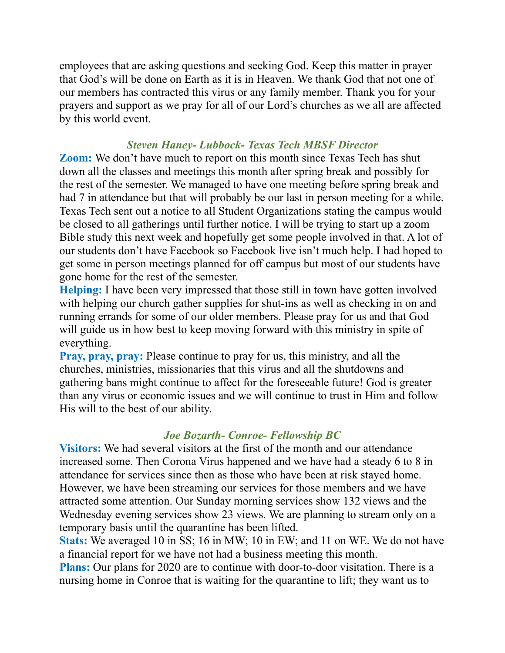employees that are asking questions and seeking God. Keep this matter in prayer that God's will be done on Earth as it is in Heaven. We thank God that not one of our members has contracted this virus or any family member. Thank you for your prayers and support as we pray for all of our Lord's churches as we all are affected by this world event.

## *Steven Haney- Lubbock- Texas Tech MBSF Director*

**Zoom:** We don't have much to report on this month since Texas Tech has shut down all the classes and meetings this month after spring break and possibly for the rest of the semester. We managed to have one meeting before spring break and had 7 in attendance but that will probably be our last in person meeting for a while. Texas Tech sent out a notice to all Student Organizations stating the campus would be closed to all gatherings until further notice. I will be trying to start up a zoom Bible study this next week and hopefully get some people involved in that. A lot of our students don't have Facebook so Facebook live isn't much help. I had hoped to get some in person meetings planned for off campus but most of our students have gone home for the rest of the semester.

**Helping:** I have been very impressed that those still in town have gotten involved with helping our church gather supplies for shut-ins as well as checking in on and running errands for some of our older members. Please pray for us and that God will guide us in how best to keep moving forward with this ministry in spite of everything.

**Pray, pray, pray:** Please continue to pray for us, this ministry, and all the churches, ministries, missionaries that this virus and all the shutdowns and gathering bans might continue to affect for the foreseeable future! God is greater than any virus or economic issues and we will continue to trust in Him and follow His will to the best of our ability.

# *Joe Bozarth- Conroe- Fellowship BC*

**Visitors:** We had several visitors at the first of the month and our attendance increased some. Then Corona Virus happened and we have had a steady 6 to 8 in attendance for services since then as those who have been at risk stayed home. However, we have been streaming our services for those members and we have attracted some attention. Our Sunday morning services show 132 views and the Wednesday evening services show 23 views. We are planning to stream only on a temporary basis until the quarantine has been lifted.

**Stats:** We averaged 10 in SS; 16 in MW; 10 in EW; and 11 on WE. We do not have a financial report for we have not had a business meeting this month.

**Plans:** Our plans for 2020 are to continue with door-to-door visitation. There is a nursing home in Conroe that is waiting for the quarantine to lift; they want us to